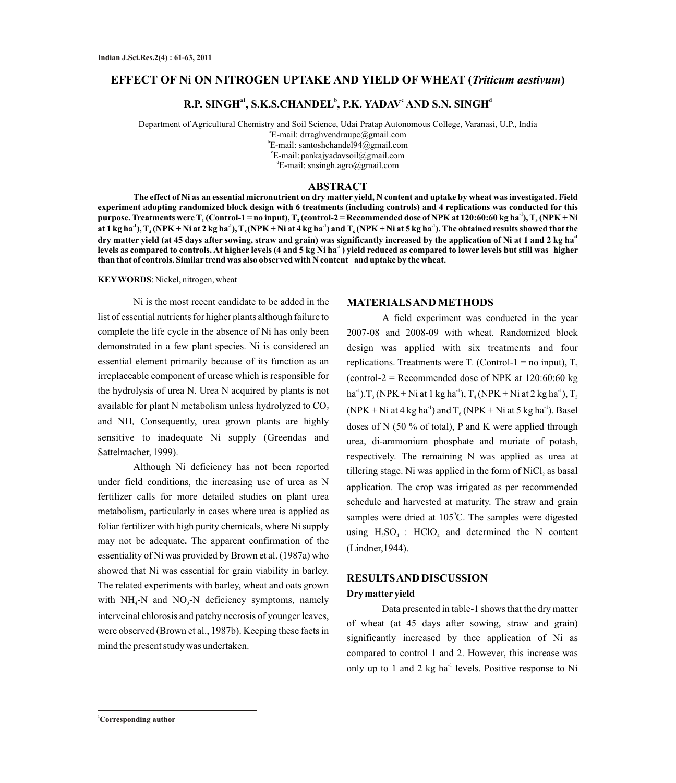### **EFFECT OF Ni ON NITROGEN UPTAKE AND YIELD OF WHEAT (***Triticum aestivum***)**

# **a1 <sup>b</sup> <sup>c</sup> <sup>d</sup> R.P. SINGH , S.K.S.CHANDEL , P.K. YADAV AND S.N. SINGH**

Department of Agricultural Chemistry and Soil Science, Udai Pratap Autonomous College, Varanasi, U.P., India a E-mail: drraghvendraupc@gmail.com b E-mail: santoshchandel94@gmail.com c E-mail:pankajyadavsoil@gmail.com d E-mail: snsingh.agro@gmail.com

### **ABSTRACT**

**The effect of Ni as an essential micronutrient on dry matter yield, N content and uptake by wheat was investigated. Field experiment adopting randomized block design with 6 treatments (including controls) and 4 replications was conducted for this -1 purpose. Treatments were T (Control-1 = no input), T (control-2 = Recommended dose of NPK at 120:60:60 kg ha ), T (NPK + Ni <sup>1</sup> <sup>2</sup> <sup>3</sup>** at 1 kg ha<sup>-1</sup>),  $T_4(NPK + Ni$  at 2 kg ha<sup>-1</sup>),  $T_5(NPK + Ni$  at 4 kg ha<sup>-1</sup>) and  $T_6(NPK + Ni$  at 5 kg ha<sup>-1</sup>). The obtained results showed that the **-1 dry matter yield (at 45 days after sowing, straw and grain) was significantly increased by the application of Ni at 1 and 2 kg ha -1 levels as compared to controls. At higher levels (4 and 5 kg Ni ha ) yield reduced as compared to lower levels but still was higher than that of controls. Similar trend was also observed with N content and uptake by the wheat.**

**KEYWORDS**: Nickel, nitrogen, wheat

Ni is the most recent candidate to be added in the list of essential nutrients for higher plants although failure to complete the life cycle in the absence of Ni has only been demonstrated in a few plant species. Ni is considered an essential element primarily because of its function as an irreplaceable component of urease which is responsible for the hydrolysis of urea N. Urea N acquired by plants is not available for plant N metabolism unless hydrolyzed to CO<sub>2</sub> and  $NH<sub>3</sub>$  Consequently, urea grown plants are highly sensitive to inadequate Ni supply (Greendas and Sattelmacher, 1999).

Although Ni deficiency has not been reported under field conditions, the increasing use of urea as N fertilizer calls for more detailed studies on plant urea metabolism, particularly in cases where urea is applied as foliar fertilizer with high purity chemicals, where Ni supply may not be adequate**.** The apparent confirmation of the essentiality of Ni was provided by Brown et al. (1987a) who showed that Ni was essential for grain viability in barley. The related experiments with barley, wheat and oats grown with  $NH_4$ -N and  $NO_3$ -N deficiency symptoms, namely interveinal chlorosis and patchy necrosis of younger leaves, were observed (Brown et al., 1987b). Keeping these facts in mind the present study was undertaken.

#### **MATERIALS AND METHODS**

A field experiment was conducted in the year 2007-08 and 2008-09 with wheat. Randomized block design was applied with six treatments and four replications. Treatments were  $T_1$  (Control-1 = no input),  $T_2$ (control-2 = Recommended dose of NPK at  $120:60:60$  kg ha<sup>-1</sup>). T<sub>3</sub> (NPK + Ni at 1 kg ha<sup>-1</sup>), T<sub>4</sub> (NPK + Ni at 2 kg ha<sup>-1</sup>), T<sub>5</sub>  $(NPK + Ni$  at 4 kg ha<sup>-1</sup>) and  $T_c(NPK + Ni$  at 5 kg ha<sup>-1</sup>). Basel doses of N (50 % of total), P and K were applied through urea, di-ammonium phosphate and muriate of potash, respectively. The remaining N was applied as urea at tillering stage. Ni was applied in the form of  $NiCl<sub>2</sub>$  as basal application. The crop was irrigated as per recommended schedule and harvested at maturity. The straw and grain samples were dried at 105°C. The samples were digested using  $H_2SO_4$ :  $HClO_4$  and determined the N content (Lindner,1944).

# **RESULTS AND DISCUSSION Dry matter yield**

Data presented in table-1 shows that the dry matter of wheat (at 45 days after sowing, straw and grain) significantly increased by thee application of Ni as compared to control 1 and 2. However, this increase was only up to 1 and 2 kg ha $^{-1}$  levels. Positive response to Ni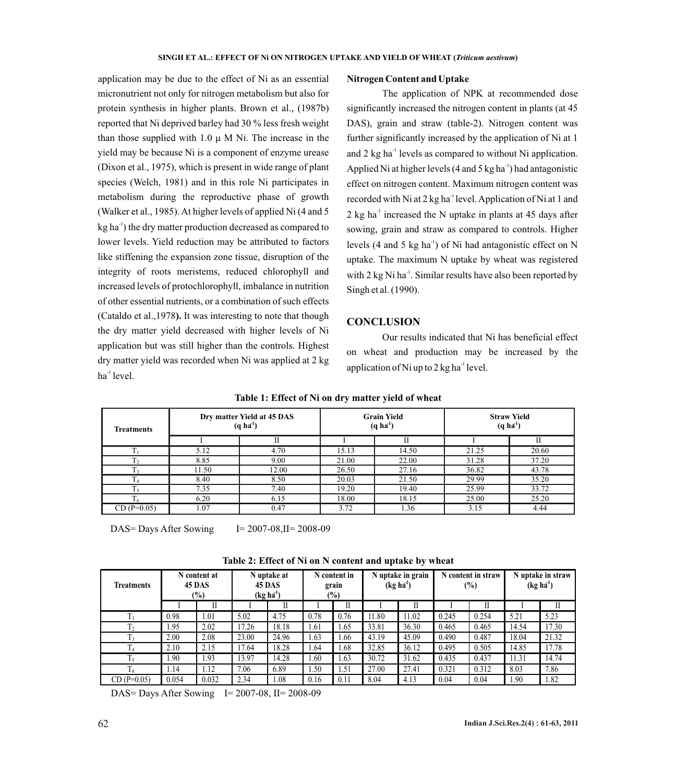application may be due to the effect of Ni as an essential micronutrient not only for nitrogen metabolism but also for protein synthesis in higher plants. Brown et al., (1987b) reported that Ni deprived barley had 30 % less fresh weight than those supplied with 1.0 μ M Ni. The increase in the yield may be because Ni is a component of enzyme urease (Dixon et al., 1975), which is present in wide range of plant species (Welch, 1981) and in this role Ni participates in metabolism during the reproductive phase of growth (Walker et al., 1985). At higher levels of applied Ni (4 and 5  $kg$  ha<sup> $-1$ </sup>) the dry matter production decreased as compared to lower levels. Yield reduction may be attributed to factors like stiffening the expansion zone tissue, disruption of the integrity of roots meristems, reduced chlorophyll and increased levels of protochlorophyll, imbalance in nutrition of other essential nutrients, or a combination of such effects (Cataldo et al.,1978**).** It was interesting to note that though the dry matter yield decreased with higher levels of Ni application but was still higher than the controls. Highest dry matter yield was recorded when Ni was applied at 2 kg  $ha^{-1}$  level.

### **Nitrogen Content and Uptake**

The application of NPK at recommended dose significantly increased the nitrogen content in plants (at 45 DAS), grain and straw (table-2). Nitrogen content was further significantly increased by the application of Ni at 1 and  $2 \text{ kg } \text{ha}^{-1}$  levels as compared to without Ni application. Applied Ni at higher levels (4 and 5 kg ha<sup>-1</sup>) had antagonistic effect on nitrogen content. Maximum nitrogen content was recorded with Ni at  $2$  kg ha<sup>-1</sup> level. Application of Ni at 1 and  $2 \text{ kg } \text{ha}^{-1}$  increased the N uptake in plants at 45 days after sowing, grain and straw as compared to controls. Higher levels (4 and 5 kg ha<sup>-1</sup>) of Ni had antagonistic effect on N uptake. The maximum N uptake by wheat was registered with  $2$  kg Ni ha<sup>-1</sup>. Similar results have also been reported by Singh et al. (1990).

## **CONCLUSION**

Our results indicated that Ni has beneficial effect on wheat and production may be increased by the application of Ni up to  $2 \text{ kg ha}^{-1}$  level.

| <b>Treatments</b> |       | Dry matter Yield at 45 DAS<br>$(q \, h \vec{a}^1)$ |       | <b>Grain Yield</b><br>$(q \, h \vec{a}^1)$ | <b>Straw Yield</b><br>$(q \, h \vec{a}^1)$ |       |  |
|-------------------|-------|----------------------------------------------------|-------|--------------------------------------------|--------------------------------------------|-------|--|
|                   |       | П                                                  |       | Н                                          |                                            |       |  |
|                   | 5.12  | 4.70                                               | 15.13 | 14.50                                      | 21.25                                      | 20.60 |  |
|                   | 8.85  | 9.00                                               | 21.00 | 22.00                                      | 31.28                                      | 37.20 |  |
| <b>TT</b><br>13   | 11.50 | 12.00                                              | 26.50 | 27.16                                      | 36.82                                      | 43.78 |  |
|                   | 8.40  | 8.50                                               | 20.03 | 21.50                                      | 29.99                                      | 35.20 |  |
| m                 | 7.35  | 7.40                                               | 19.20 | 19.40                                      | 25.99                                      | 33.72 |  |
|                   | 6.20  | 6.15                                               | 18.00 | 18.15                                      | 25.00                                      | 25.20 |  |
| $CD(P=0.05)$      | 1.07  | 0.47                                               | 3.72  | 1.36                                       | 3.15                                       | 4.44  |  |

**Table 1: Effect of Ni on dry matter yield of wheat**

DAS= Days After Sowing  $I= 2007-08, II= 2008-09$ 

| <b>Treatments</b> | N content at<br><b>45 DAS</b><br>$(\%)$ |       | N uptake at<br>45 DAS<br>(kg ha <sup>1</sup> ) |       | N content in<br>grain<br>$\frac{1}{2}$ |      | N uptake in grain<br>(kg ha <sup>1</sup> ) |       | N content in straw<br>$(\%)$ |       | N uptake in straw<br>(kg ha <sup>1</sup> ) |       |
|-------------------|-----------------------------------------|-------|------------------------------------------------|-------|----------------------------------------|------|--------------------------------------------|-------|------------------------------|-------|--------------------------------------------|-------|
|                   |                                         |       |                                                |       |                                        |      |                                            |       |                              |       |                                            |       |
|                   | 0.98                                    | 1.01  | 5.02                                           | 4.75  | 0.78                                   | 0.76 | 1.80                                       | 11.02 | 0.245                        | 0.254 | 5.21                                       | 5.23  |
| T <sub>2</sub>    | l.95                                    | 2.02  | 17.26                                          | 18.18 | 1.61                                   | . 65 | 33.81                                      | 36.30 | 0.465                        | 0.465 | 14.54                                      | 17.30 |
| T<br>13           | 2.00                                    | 2.08  | 23.00                                          | 24.96 | 1.63                                   | . 66 | 43.19                                      | 45.09 | 0.490                        | 0.487 | 18.04                                      | 21.32 |
| 14                | 2.10                                    | 2.15  | 17.64                                          | 18.28 | .64                                    | .68  | 32.85                                      | 36.12 | 0.495                        | 0.505 | 14.85                                      | 17.78 |
|                   | .90                                     | 1.93  | 13.97                                          | 14.28 | .60                                    | 1.63 | 30.72                                      | 31.62 | 0.435                        | 0.437 | 11.31                                      | 14.74 |
|                   | l.14                                    | 1.12  | 7.06                                           | 6.89  | .50                                    | l.51 | 27.00                                      | 27.41 | 0.321                        | 0.312 | 8.03                                       | 7.86  |
| $CD(P=0.05)$      | 0.054                                   | 0.032 | 2.34                                           | 1.08  | 0.16                                   | 0.11 | 8.04                                       | 4.13  | 0.04                         | 0.04  | .90                                        | 1.82  |

**Table 2: Effect of Ni on N content and uptake by wheat**

DAS= Days After Sowing  $I = 2007-08$ ,  $II = 2008-09$